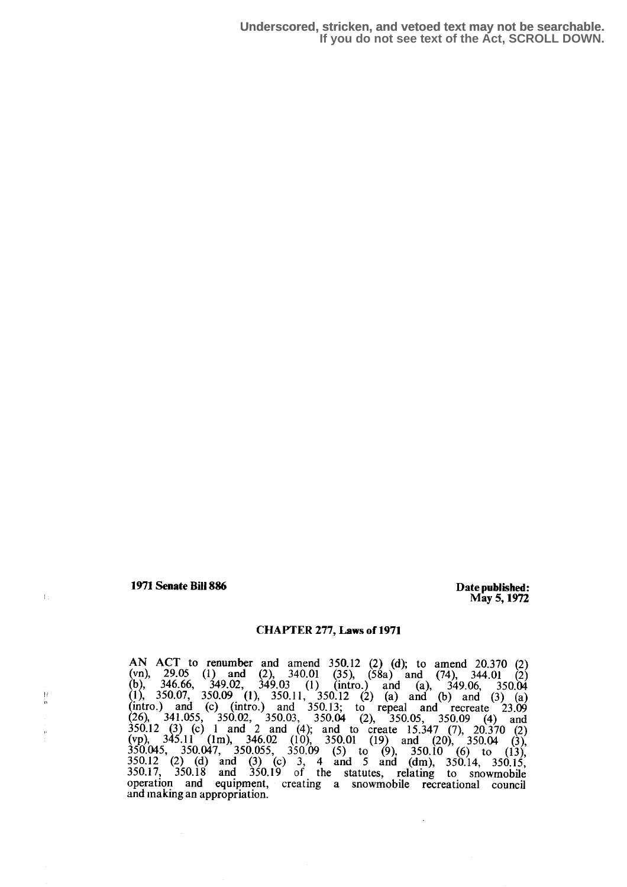1971 Senate Bill 886 Date published:

 $\pm$ 

Ħ 'n

May 5,1972

## CHAPTER 277, Laws of 1971

AN ACT to renumber and amend 350.12 (2) (d); to amend 20.370 (2) (vn), 29.05 (1) and (2), 340.01 (35), (58a) and (74), 344.01 (b), 346.66, 349.02, 349.03 (1) (intro.) and (a), 349.06, 350.04 (1), 350.07, 350.09 (1), 350.11, 350.12 (2) (a) and (b) and (3) (a) (intro.) and (c) (intro.) and  $350.13$ ; to repeal and recreate  $23.09$  $(26)$ ,  $341.055$ ,  $350.02$ ,  $350.03$ ,  $350.04$  (2),  $350.05$ ,  $350.09$  (4) and  $350.12$  (3) (c) 1 and 2 and (4); and to create 15.347 (7), 20.370 (2) (vp), 345.11 (1m), 346.02 (10), 350.01 (19) and (20), 350.04 (3),  $350.045$ ,  $350.047$ ,  $350.055$ ,  $350.09$  (5) to (9),  $350.10$  (6) to (13),  $350.10$  $350.12$  (2) (d) and (3) (c) 3, 4 and 5 and (dm),  $350.14$ ,  $350.15$ ,  $350.17$ 350.17: 350.18 and 350.19 of the statutes, relating to snowmobile operation and equipment, creating a snowmobile recreational council and making an appropriation.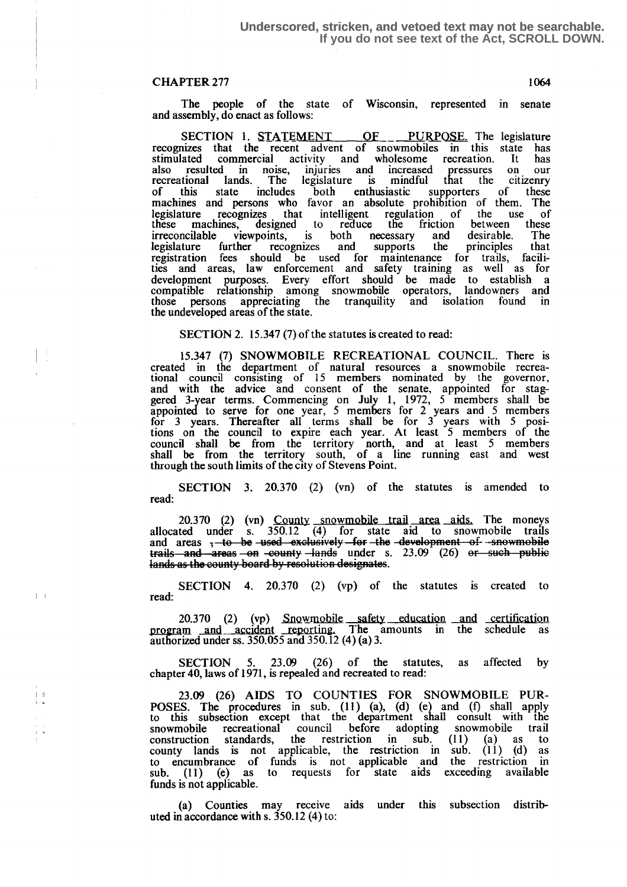$\left| \cdot \right|$ 

The people of the state of Wisconsin, represented in senate and assembly, do enact as follows: and assembly, do enact as follows:

SECTION 1. STATEMENT OF PURPOSE. The legislature recognizes that the recent advent of snowmobiles in this state has stimulated commercial activity and wholesome recreation. It has also resulted in noise, injuries and increased pressures on our stimulated commercial activity and wholesome recreation. It has<br>also resulted in noise, injuries and increased pressures on our<br>recreational lands. The legislature is mindful that the citizenry<br>of this state includes both includes both enthusiastic supporters of these machines and persons who favor an absolute prohibition of them. The legislature recognizes that intelligent regulation of the use of legislature recognizes that intelligent regulation of the use of these machines, designed to reduce the friction between these irreconcilable viewpoints, is both necessary and desirable. The legislature further recognizes and supports the principles that registration fees should be used for maintenance for trails, facili-ties and areas, law enforcement and safety training as well as for development purposes. Every effort should be made to establish a compatible relationship among snowmobile operators, landowners and those persons appreciating the tranquility and isolation found in the undeveloped areas of the state.

#### SECTION 2. 15.347 (7) of the statutes is created to read:

<sup>15</sup> .347 (7) SNOWMOBILE RECREATIONAL COUNCIL. There is created in the department of natural resources a snowmobile recreational council consisting of 15 members nominated by the governor, and with the advice and consent of the senate, appointed for staggered 3-year terms. Commencing on July 1, 1972, 5 members shall be appointed to serve for one year, 5 members for 2 years and 5 members  $\frac{3}{2}$ for 3 years. Thereafter all terms shall be for 3 years with 5 positions on the council to expire each year. At least 5 members of the council shall be from the territory north, and at least 5 members shall be from the territory south, of a line running east and west through the south limits of the city of Stevens Point.

SECTION 3. 20.370 (2) (vn) of the statutes is amended to read:

20.370 (2) (vn) County snowmobile trail area aids. The moneys allocated under s.  $350.12$  (4) for state aid to snowmobile trails and areas  $\frac{1}{2}$ -to-be used exclusively for  $\frac{1}{2}$  and  $\frac{1}{2}$  areas  $\frac{1}{2}$  areas  $\frac{1}{2}$  areas  $\frac{1}{2}$  areas  $\frac{1}{2}$  areas  $\frac{1}{2}$  are  $i$  and  $i$  areas -en  $i$  -equal  $y$  -lands under s. 23.09 (26) or such public lands as the county board by resolution designates.

SECTION 4. 20.370 (2) (vp) of the statutes is created to read:

20.370 (2) (vp) Snowmobile safety education and certification program and accident reporting. The amounts in the schedule as authorized under ss . 350.055 and 350.12 (4) (a) 3.

SECTION 5. 23.09 (26) of the statutes, as affected by chapter 40, laws of 1971, is repealed and recreated to read:

<sup>23</sup> .09 (26) AIDS TO COUNTIES FOR SNOWMOBILE PUR-POSES. The procedures in sub. (11) (a), (d) (e) and (f) shall apply to this subsection except that the department shall consult with the snowmobile recreational council before adopting snowmobile trail construction standards, the restriction in sub. (11) (a) as to county lands is not applicable, the restriction in sub. (11) (d) as to encumbrance of funds is not applicable and the restriction in sub. (11) (e) as to requests for state aids exceeding available funds is not applicable.

(a) Counties may receive aids under this subsection distributed in accordance with s. 350.12 (4) to :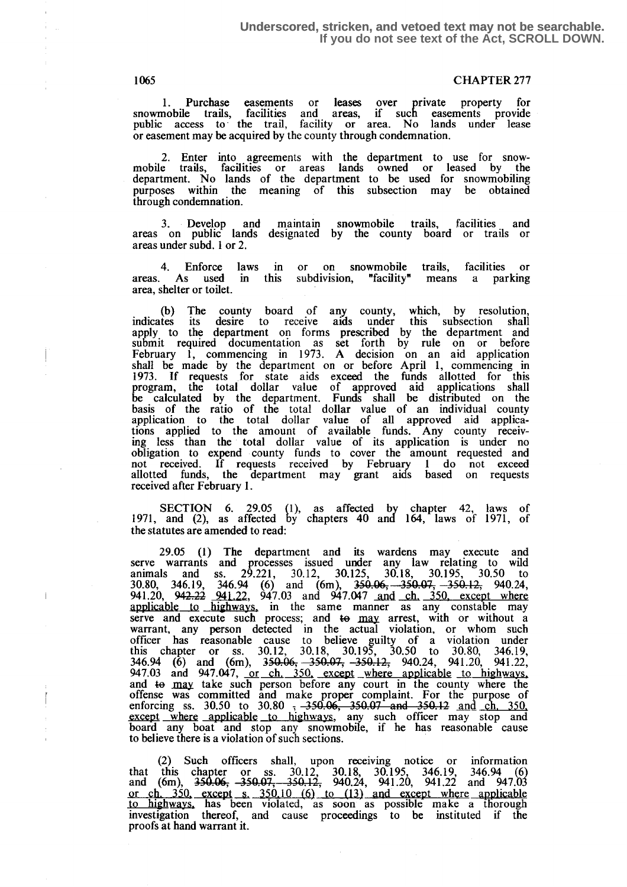1. Purchase easements or leases over private property for snowmobile trails, facilities and areas, if such easements provide public access to the trail, facility or area. No lands under lease or easement may be acquired by the county through condemnation.

2. Enter into agreements with the department to use for snowmobile trails, facilities or areas lands owned or leased by the department . No lands of the department to be used for snowmobiling purposes within the meaning of this subsection may be obtained through condemnation.

3. Develop and maintain snowmobile trails, facilities and areas on public lands designated by the county board or trails or areas under subd. 1 or 2.

4. Enforce laws in or on snowmobile trails, facilities or areas. As used in this subdivision, "facility" means a parking area, shelter or toilet .

(b) The county board of any county, which, by resolution, indicates its desire to receive aids under this subsection shall apply to the department on forms prescribed by the department and<br>submit required documentation as set forth by rule on or before<br>February 1, commencing in 1973. A decision on an aid application<br>shall be made by the depart 1973 . If requests for state aids exceed the funds allotted for this program, the total dollar value of approved aid applications shall be calculated by the department. Funds shall be distributed on the basis of the ratio of the total dollar value of an individual county application to the total dollar value of all approved aid applica-tions applied to the amount of available funds. Any county receiving less than the total dollar value of its application is under no obligation to expend county funds to cover the amount requested and not received. If requests received by February 1 do not exceed allotted funds, the department may grant aids based on requests received after February I .

SECTION 6. 29.05 (1), as affected by chapter 42, laws of 1971, and (2), as affected by chapters 40 and 164, laws of 1971, of the statutes are amended to read:

29.05 (1) The department and its wardens may execute and serve warrants and processes issued under any law relating to wild animals and ss. 29.221, 30.12, 30,125, 30.18, 30.195, 30.50 to  $30.80, 346.19, 346.94$  (6) and (6m),  $350.06, -350.07, -350.12, 940.24,$ 941.20, 942.22 941.22, 947.03 and 947.047 and ch. 350, except where applicable to highways, in the same manner as any constable may serve and execute such process; and to may arrest, with or without a warrant, any person detected in the actual violation, or whom such officer has reasonable cause to believe guilty of a violation under this chapter or ss.  $30.12$ ,  $30.18$ ,  $30.195$ ,  $30.50$  to  $30.80$ ,  $346.19$ ,  $346.94$  (6) and (6m),  $350.06, -350.07, -350.12, 940.24, 941.20, 941.22,$ 947.03 and 947.047, or ch. 350, except where applicable to highways. and to may take such person before any court in the county where the offense was committed and make proper complaint. For the purpose of enforcing ss. 30.50 to 30.80 ;  $-350.06$ ,  $350.07$  and  $-350.12$  and ch. 350. except where applicable to highways, any such officer may stop and board any boat and stop any snowmobile, if he has reasonable cause to believe there is a violation of such sections.

(2) Such officers shall, upon receiving notice or information that this chapter or ss.  $30.12$ ,  $30.18$ ,  $30.195$ ,  $346.19$ ,  $346.94$  (6) and (6m),  $350.06$ ,  $350.07$ ,  $350.12$ ,  $940.24$ ,  $941.20$ ,  $941.22$  and  $947.03$  or ch.  $350$ , except s.  $350.10$  (6) to (13) and except where a investigation thereof, and cause proceedings to be instituted if the proofs at hand warrant it.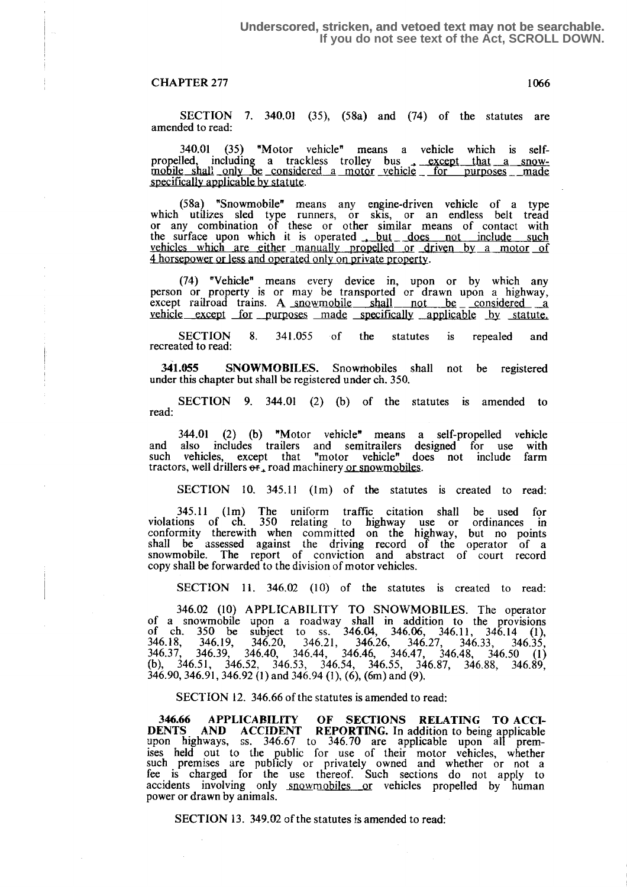SECTION 7. 340.01 (35), (58a) and (74) of the statutes are amended to read:

340.01 (35) "Motor vehicle" means a vehicle which is self-340.01 (35) "Motor vehicle" means a vehicle which is self-<br>propelled, including a trackless trolley bus , except that a snow-<br>mobile shall only be considered a motor vehicle for purposes made specifically applicable by statute.

(58a) "Snowmobile" means any engine-driven vehicle of a type which utilizes sled type runners, or skis, or an endless belt tread or any combination of these or other similar means of contact with<br>the surface upon which it is operated <u>but does not include such</u><br>uphiology which are given upon upon the surface of vehicles which are either manually propelled or driven by a motor of  $\Lambda$  becomes as less and approach only a motor  $\overline{\text{O}}$ 4 horsepower or less and operated only on private property .

(74) "Vehicle" means every device in, upon or by which any person or property is or may be transported or drawn upon a highway, except railroad trains. A snowmobile shall not be considered  $v$ ehicle except for purposes made specifically applicable by statute.

SECTION 8. 341.055 of the statutes is repealed and statutes recreated to read:

<sup>341</sup> .055 SNOWMOBILES. Snowmobiles shall not be registered under this chapter but shall be registered under ch. 350.

SECTION 9. 344.01 (2) (b) of the statutes is amended to read:

344.01 (2) (b) "Motor vehicle" means a self-propelled vehicle and also includes trailers and semitrailers designed for use with such vehicles, except that "motor vehicle" does not include farm tractors, well drillers  $\theta f$ , road machinery <u>or snowmobiles</u>.

SECTION 10. 345.11 (1m) of the statutes is created to read:

 $345.11$  (lm) The uniform traffic citation shall be used for violations of ch. 350 relating to highway use or ordinances in conformity therewith when committed on the highway, but no points shall be assessed against the driving record of the operator of a snowmobile. The report of conviction and abstract of court record copy shall be forwarded to the division of motor vehicles .

SECTION 11. 346.02 (10) of the statutes is created to read:

346.02 (10) APPLICABILITY TO SNOWMOBILES. The operator of a snowmobile upon a roadway shall in addition to the provisions of ch. 350 be subject to ss. 346.04, 346.06, 346.11, 346.14 (1), 346.18, 346.19, 346.20, 346.21, 346.26, 346.27, 346.33, 346.35, 346.37, 346.39, 346.40, 346.44, 346.46, 346.47, 346.48, 346.50 (1) (b), 346.51, 346.52, 346.53, 346.54, 346.55, 346.87, 346.88, 346.89, 346.90, 346.91, 346.92 (1) and 346.94 (1), (6), (6m) and (9),

SECTION 12. 346.66 of the statutes is amended to read:

346.66 APPLICABILITY OF SECTIONS RELATING TO ACCI-<br>DENTS AND ACCIDENT REPORTING. In addition to being applicable<br>upon highways, ss. 346.67 to 346.70 are applicable upon all premises held out to the public for use of their motor vehicles, whether such premises are publicly or privately owned and whether or not a fee is charged for the use thereof. Such sections do not apply to accidents involving only snowmobiles or vehicles propelled by human power or drawn by animals.

SECTION 13. 349.02 of the statutes is amended to read: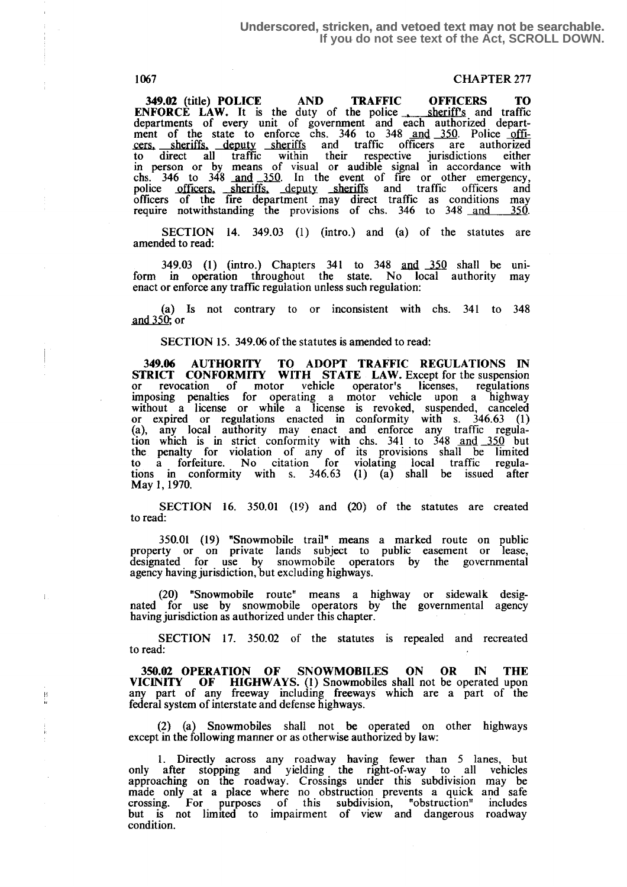书<br>目

# 1067 CHAPTER 277

349.02 (title) POLICE AND TRAFFIC OFFICERS TO ENFORCE LAW. It is the duty of the police sheriff's and traffic departments of every unit of government and each authorized department of the state to enforce chs. 346 to 348 and 350. Police officers. sheriffs. deputy sheriffs and traffic officers are authorized to direct all traffic within their respective jurisdictions either in person or by means of visual or audible signal in accordance with to direct all traffic within their respective jurisdictions either<br>in person or by means of visual or audible signal in accordance with<br>chs. 346 to 348 and 350. In the event of fire or other emergency,<br>police officers. she require notwithstanding the provisions of chs. 346 to 348 <u>and 350</u>.

SECTION 14. 349.03 (1) (intro.) and (a) of the statutes are amended to read:

349.03 (1) (intro.) Chapters 341 to 348 and 350 shall be uniform in operation throughout the state. No local authority may enact or enforce any traffic regulation unless such regulation:

(a) Is not contrary to or inconsistent with chs. 341 to 348 and 350; or

SECTION 15. 349.06 of the statutes is amended to read:

349.06 AUTHORITY TO ADOPT TRAFFIC REGULATIONS IN<br>STRICT CONFORMITY WITH STATE LAW. Except for the suspension STRICT CONFORMITY WITH STATE LAW. Except for the suspension or revocation of motor vehicle operator's licenses, regulations imposing penalties for operating a motor vehicle upon a highway without a license or while a license is revoked, suspended, canceled or expired or regulations enacted in conformity with s. 346.63 (1) (a), any local authority may enact and enforce any traffic regulation which is in strict conformity with chs. 341 to 348 and 350 but the penalty for violation of any of its provisions shall be limited to a forfeiture . No citation for violating local traffic regula-tions in conformity with s. 346.63 (1) (a) shall be issued after May 1, 1970,

SECTION 16. 350.01 (19) and (20) of the statutes are created to read:

350.01 (19) "Snowmobile trail" means a marked route on public property or on private lands subject to public easement or lease, designated for use by snowmobile operators by the governmental agency having jurisdiction, but excluding highways.

(20) "Snowmobile route" means a highway or sidewalk designated for use by snowmobile operators by the governmental agency having jurisdiction as authorized under this chapter.

SECTION 17. 350.02 of the statutes is repealed and recreated to read:

350.02 OPERATION OF SNOWMOBILES ON OR IN THE VICINITY OF HIGHWAYS. (1) Snowmobiles shall not be operated upon any part of any freeway including freeways which are a part of the federal system of interstate and defense highways.

(2) (a) Snowmobiles shall not be operated on other highways except in the following manner or as otherwise authorized by law:

1. Directly across any roadway having fewer than 5 lanes, but only after stopping and yielding the right-of-way to all vehicles approaching on the roadway. Crossings under this subdivision may be made only at a place where no obstruction prevents a quick and safe crossing . For purposes of this subdivision, "obstruction" includes but is not limited to impairment of view and dangerous roadway condition.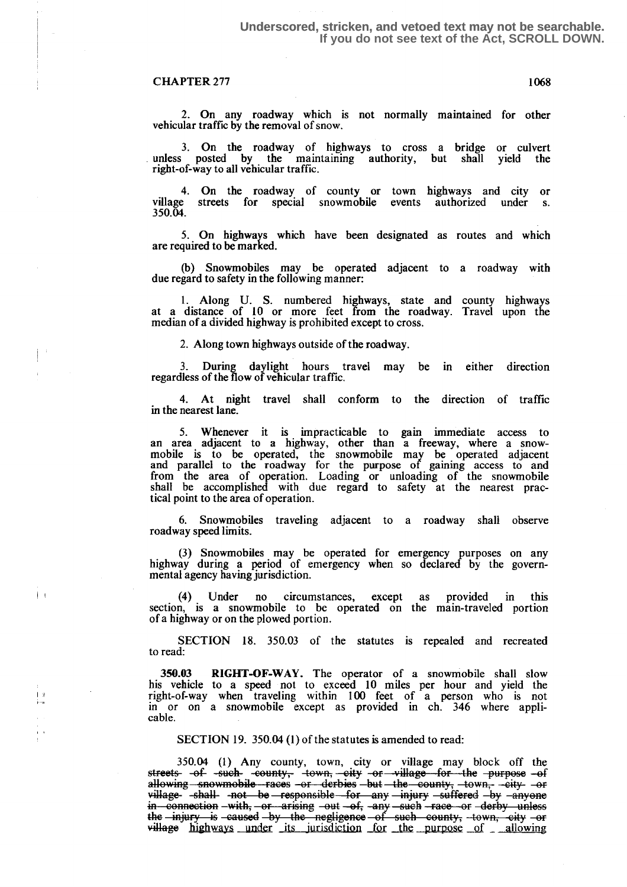$\left| \cdot \right|$ 

2. On any roadway which is not normally maintained for other vehicular traffic by the removal of snow.

3. On the roadway of highways to cross a bridge or culvert unless posted by the maintaining authority, but shall yield the right-of-way to all vehicular traffic.

4. On the roadway of county or town highways and city or village streets for special snowmobile events authorized under s. 350.04.

5. On highways which have been designated as routes and which are required to be marked.

(b) Snowmobiles may be operated adjacent to a roadway with due regard to safety in the following manner:

<sup>1</sup> . Along U. S. numbered highways, state and county highways at a distance of 10 or more feet from the roadway. Travel upon the median of a divided highway is prohibited except to cross.

2. Along town highways outside of the roadway.

<sup>3</sup> . During daylight hours travel may be in either direction regardless of the flow of vehicular traffic.

4. At night travel shall conform to the direction of traffic in the nearest lane.

5. Whenever it is impracticable to gain immediate access to an area adjacent to a highway, other than a freeway, where a snow-mobile is to be operated, the snowmobile may be operated adjacent and parallel to the roadway for the purpose of gaining access to and from the area of operation. Loading or unloading of the snowmobile shall be accomplished with due regard to safety at the nearest practical point to the area of operation.

6. Snowmobiles traveling adjacent to a roadway shall observe roadway speed limits .

(3) Snowmobiles may be operated for emergency purposes on any highway during a period of emergency when so declared by the governmental agency having jurisdiction.

(4) Under no circumstances, except as provided in this section, is a snowmobile to be operated on the main-traveled portion of a highway or on the plowed portion.

SECTION 18. 350.03 of the statutes is repealed and recreated to read:

350.03 RIGHT-OF-WAY. The operator of a snowmobile shall slow his vehicle to a speed not to exceed 10 miles per hour and yield the right-of-way when traveling within 100 feet of a person who is not in or on a snowmobile except as provided in ch. 346 where applicable.

SECTION 19. 350.04 (1) of the statutes is amended to read:

350.04 (1) Any county, town, city or village may block off the streets -of -such -county, -town, -city or -village for the purpose -of<br>allowing snowmobile races -or derbies but the county, -town, -city -or<br>village shall not be responsible for any injury suffered by envoue 350.04 (1) Any county, town, city or village may block off the<br>streets-of-such-county, town, city or village for the purpose of<br>allowing snowmobile races or derbies but the county, town, eity or<br>village-shall-not be respon village -shall not be responsible for any injury -suffered by -anyone<br>in connection -with, or arising -out -of, -any -such -race or -derby unless the -injury is caused by the negligence of such county, town, city or<br>willage highways under its jurisdiction for the purpose of \_ allowing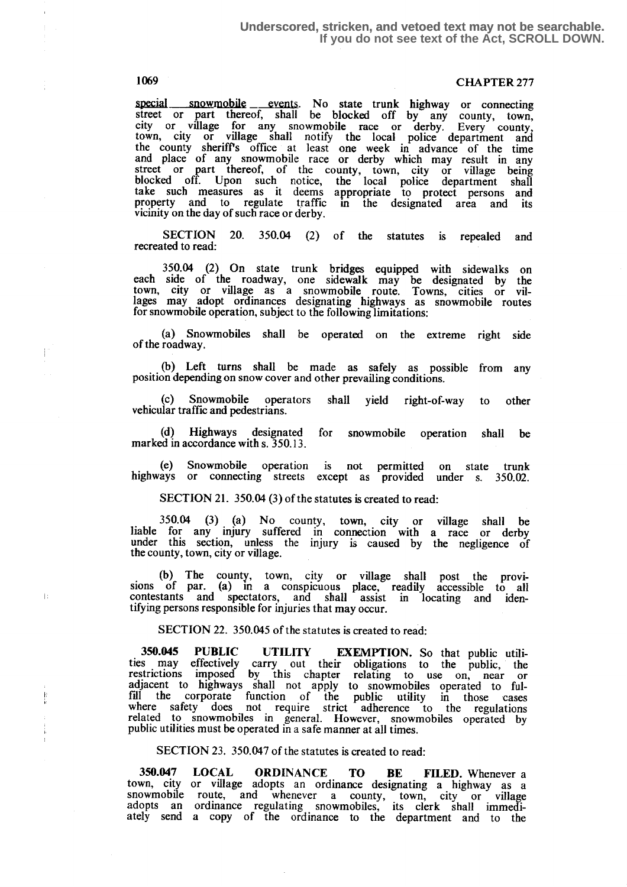# 1069 CHAPTER 277

special snowmobile events. No state trunk highway or connecting street or part thereof, shall be blocked off by any county, town, city or village for any snowmobile race or derby. Every county, town, city or village shall notify the local police department and the county sheriffs office at least one week in advance of the time and place of any snowmobile race or derby which may result in any street or part thereof, of the county, town, city or village being blocked off. Upon such notice, the local police department shall take such measures as it deems appropriate to protect persons and<br>property and to regulate traffic in the designated area and its<br>vicinity on the day of such received area. vicinity on the day of such race or derby.

SECTION 20. 350.04 (2) of the statutes is repealed and recreated to read:

350.04 (2) On state trunk bridges equipped with sidewalks on each side of the roadway, one sidewalk may be designated by the town, city or village as a snowmobile route. Towns, cities or vil-lages may adopt ordinances designating highways as snowmobile routes for snowmobile operation, subject to the following limitations:

(a) Snowmobiles shall be operated on the extreme right side of the roadway.

(b) Left turns shall be made as safely as possible from any position depending on snow cover and other prevailing conditions .

(c) Snowmobile operators shall yield right-of-way to other vehicular traffic and pedestrians.

(d) Highways designated for snowmobile operation shall be marked in accordance with s. 350.13.

(e) Snowmobile operation is not permitted on state trunk highways or connecting streets except as provided under s. 350.02.

SECTION 21. 350.04 (3) of the statutes is created to read:

 $350.04$  (3) (a) No county, town, city or village shall be liable for any injury suffered in connection with a race or derby under this section, unless the injury is caused by the negligence of the county, town, city or village.

(b) The county, town, city or village shall post the provisions of par. (a) in a conspicuous place, readily accessible to all contestants and spectators, and shall assist in locating and identifying persons responsible for injuries that may occur.

SECTION 22. 350.045 of the statutes is created to read:

350.045 PUBLIC UTILITY EXEMPTION. So that public utili-ties may effectively carry out then obligations to the public, the restrictions imposed by this chapter relating to use on, near or adjacent to highways shall not apply to snowmobiles operated to fulfill the corporate function of the public utility in those cases where safety does not require strict adherence to the regulations related to snowmobiles in general. However, snowmobiles operated by public utilities must be operated in a safe manner at all times.

SECTION 23. 350.047 of the statutes is created to read:

350.047 LOCAL ORDINANCE TO BE FILED. Whenever a town, city or village adopts an ordinance designating a highway as a snowmobile route, and whenever a county, town, city or village adopts an ordinance regulating snowmobiles, its clerk shall immediately send a copy of the ordinance to the department and to the

T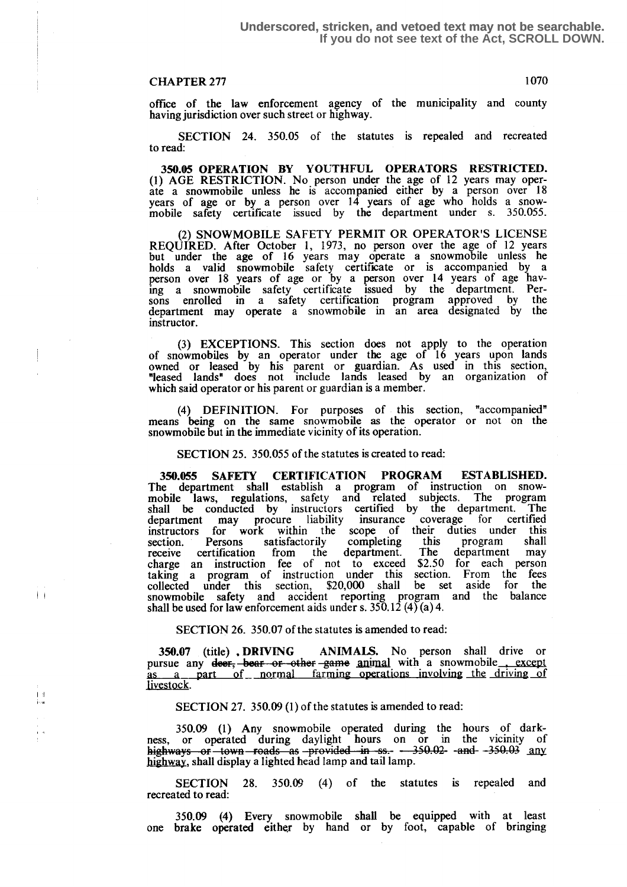$\mathbf{I}$ 

office of the law enforcement agency of the municipality and county having jurisdiction over such street or highway.

SECTION 24. 350.05 of the statutes is repealed and recreated to read:

350.05 OPERATION BY YOUTHFUL OPERATORS RESTRICTED. (1) AGE RESTRICTION. No person under the age of 12 years may oper-ate a snowmobile unless he is accompanied either by a person over 18 years of age or by a person over 14 years of age who holds a snowmobile safety certificate issued by the department under s. 350.055.

(2) SNOWMOBILE SAFETY PERMIT OR OPERATOR'S LICENSE<br>REQUIRED. After October 1, 1973, no person over the age of 12 years REQUIRED. After October 1, 1973, no person over the age of 12 years but under the age of 16 years may operate a snowmobile unless he holds a valid snowmobile safety certificate or is accompanied by a person over 18 years of age or by a person over 14 years of age having a snowmobile safety certificate issued by the department. Persons enrolled in a safety certification program approved by the department may operate a snowmobile in an area designated by the instructor.

(3) EXCEPTIONS. This section does not apply to the operation<br>commetities by an executor under the age of 16 years upon lands of snowmobiles by an operator under the age of 16 years upon lands owned or leased by his parent or guardian. As used in this section, "leased lands" does not include lands leased by an organization of which said operator or his parent or guardian is a member.

(4) DEFINITION. For purposes of this section, "accompanied" means being on the same snowmobile as the operator or not on the snowmobile but in the immediate vicinity of its operation.

SECTION 25. 350.055 of the statutes is created to read:

350.055 SAFETY CERTIFICATION PROGRAM ESTABLISHED. The department shall establish a program of instruction on snowmobile laws, regulations, safety and related subjects. The program shall be conducted by instructors certified by the department. The shall be conducted by instructors certified by the department. department may procure liability insurance coverage for certified instructors for work within the scope of their duties under this section. Persons satisfactorily completing this program shall receive certification from the department. The department may receive certification from the department. The department may charge an instruction fee of not to exceed \$2.50 for each person taking a program of instruction under this section. From the fees collected under this section, \$20,000 shall be set aside for the snowmobile safety and accident reporting program and the balance shall be used for law enforcement aids under s. 350.12 (4) (a) 4.

SECTION 26. 350.07 of the statutes is amended to read:

350.07 (title) . DRIVING ANIMALS. No person shall drive or pursue any deer, bear or other game animal with a snowmobile except as a part of normal farming operations involving the driving of part of normal farming operations involving the driving of livestock.

SECTION 27. 350.09 (1) of the statutes is amended to read:

350.09 (1) Any snowmobile operated during the hours of dark-<br>ness, or operated during daylight hours on or in the vicinity of<br>highways of town roads as provided in ss.  $-350.02$ - -and- $-350.03$  any<br>highway shall dighly a highway, shall display a lighted head lamp and tail lamp.

SECTION 28. 350.09 (4) of the statutes is repealed and recreated to read:

350.09 (4) Every snowmobile shall be equipped with at least one brake operated either by hand or by foot, capable of bringing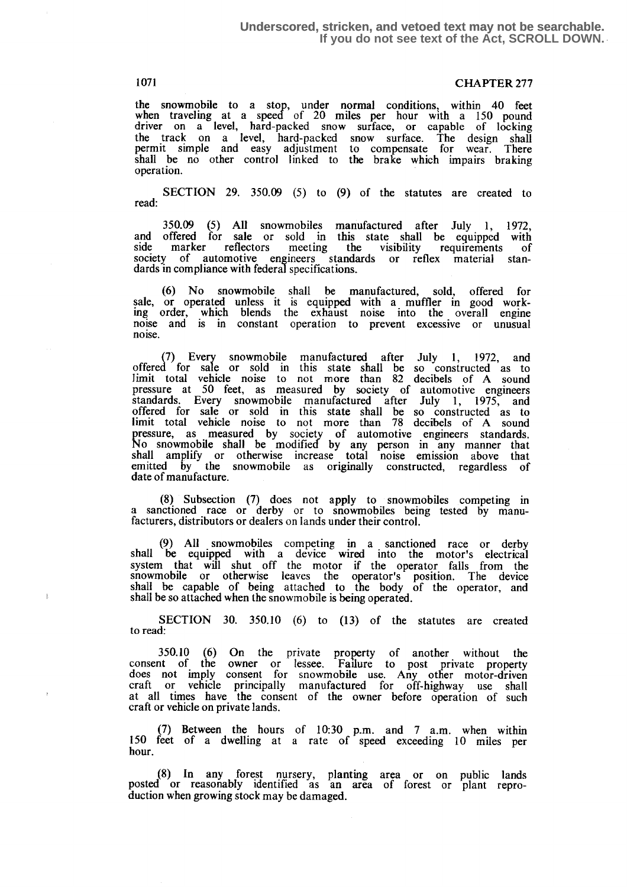# 1071 **CHAPTER 277**

the snowmobile to a stop, under normal conditions, within 40 feet when traveling at a speed of 20 miles per hour with a 150 pound driver on a level, hard-packed snow surface, or capable of locking the track on a level, hard-packed snow surface. The design shall permit simple and easy adjustment to compensate for wear. There shall be no other control linked to the brake which impairs braking operation.

SECTION 29. 350.09 (5) to (9) of the statutes are created to read:

350.09 (5) All snowmobiles manufactured after July 1, 1972, and offered for sale or sold in this state shall be equipped with side marker reflectors meeting the visibility requirements of society of automotive engineers standards or reflex material standards in compliance with federal specifications.

(6) No snowmobile shall be manufactured, sold, offered for sale, or operated unless it is equipped with a muffler in good work-ing order, which blends the exhaust noise into the overall engine noise and is in constant operation to prevent excessive or unusual noise.

(7) Every snowmobile manufactured after July 1, 1972, and offered for sale or sold in this state shall be so constructed as to limit total vehicle noise to not more than 82 decibels of A sound pressure at 50 feet, as measured by society of automotive engineers standards. Every snowmobile manufactured after July 1, 1975, and offered for sale or sold in this state shall be so constructed as to limit total vehicle noise to not more than 78 decibels of A sound<br>pressure as measured by society of putomative engineers stordards pressure, as measured by society of automotive engineers standards. No snowmobile shall be modified by any person in any manner that shall amplify or otherwise increase total noise emission above that emitted by the snowmobile as originally constructed, regardless of date of manufacture.

(8) Subsection (7) does not apply to snowmobiles competing in a sanctioned race or derby or to snowmobiles being tested by manufacturers, distributors or dealers on lands under their control.

(9) All snowmobiles competing in a sanctioned race or derby shall be equipped with a device wired into the motor's electrical system that will shut off the motor if the operator falls from the snowmobile or otherwise leaves the operator's position . The device shall be capable of being attached to the body of the operator, and shall be so attached when the snowmobile is being operated .

SECTION 30. 350.10 (6) to (13) of the statutes are created to read:

350.10 (6) On the private property of another without the consent of the owner or lessee . Failure to post private property does not imply consent for snowmobile use. Any other motor-driven craft or vehicle principally manufactured for off-highway use shall at all times have the consent of the owner before operation of such craft or vehicle on private lands.

(7) Between the hours of  $10:30$  p.m. and  $7$  a.m. when within 150 feet of a dwelling at a rate of speed exceeding 10 miles per hour.

(S) In any forest nursery, planting area or on public lands posted or reasonably identified as an area of forest or plant reproduction when growing stock may be damaged.

 $\mathbb{E}$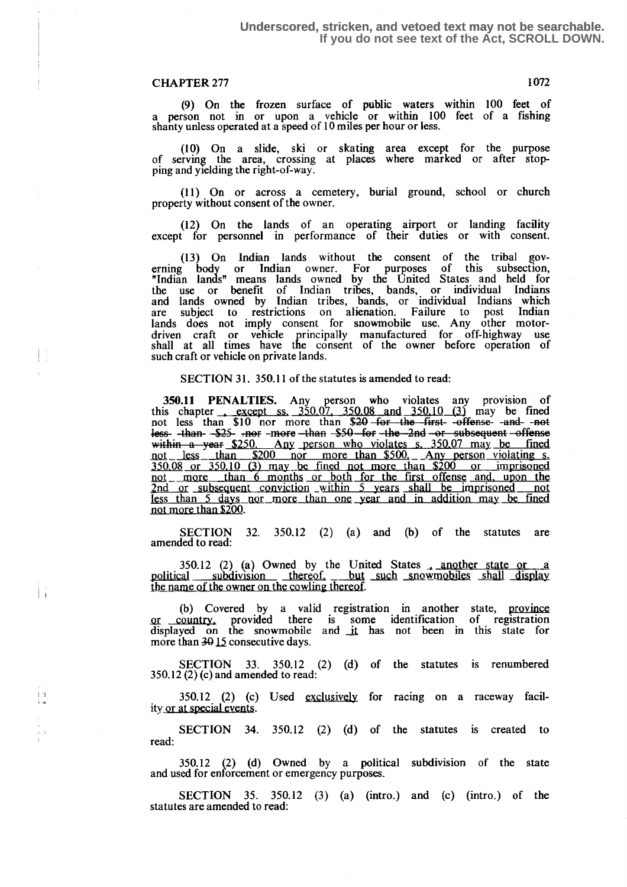#### **Underscored, stricken, and vetoed text may not be searchable. If you do not see text of the Act, SCROLL DOWN.**

## CHAPTER 277 1072

巨

 $\frac{1}{2}$ 

(9) On the frozen surface of public waters within 100 feet of a person not in or upon a vehicle or within  $100$  feet of a fishing shanty unless operated at a speed of 10 miles per hour or less .

(10) On a slide, ski or skating area except for the purpose of serving the area, crossing at places where marked or after stopping and yielding the right-of-way .

(11) On or across a cemetery, burial ground, school or church property without consent of the owner,

(12) On the lands of an operating airport or landing facility except for personnel in performance of their duties or with consent.

(13) On Indian lands without the consent of the tribal governing body or Indian owner. For purposes of this subsection, "Indian lands" means lands owned by the United States and held for the use or benefit of Indian tribes, bands, or individual Indians and lands owned by Indian tribes, bands, or individual Indians which<br>are subject to restrictions on alienation. Failure to post Indian<br>lands does not imply consent for snowmobile use. Any other motordriven craft or vehicle principally manufactured for off-highway use shall at all times have the consent of the owner before operation of such craft or vehicle on private lands.

SECTION 31. 350.11 of the statutes is amended to read:

350.11 PENALTIES. Any person who violates any provision of this chapter except ss.  $350.07$ ,  $350.08$  and  $350.10$  (3) may be fined not less than \$10 nor more than \$20-for the first-offense -and -not less than \$10 nor more than \$20-for the  $\frac{350.10}{ }$  or subsequent offense less- -than- -\$25- -nor-more-than-\$50-for-the -2nd or subsequent -offense within a year  $$250$ . Any person who violates s. 350.07 may be fined not less than  $$200$  nor more than  $$500$ . Any person violating s.  $$250.08$  or  $$250.10$   $(2)$  may be fined not more than  $$200$  or imprisoned  $\frac{350.08}{250.08}$  or  $\frac{350.10}{250.18}$  may be fined not than  $\frac{200}{200}$  or imprisoned 5 years shall be imprisoned not<br>year and in addition may be fined not more than \$200.

SECTION 32. 350.12 (2) (a) and (b) of the statutes are amended to read:

350.12 (2) (a) Owned by the United States a another state or a political subdivision thereof but such snowmobiles shall display the name of the owner on the cowling thereof.

(b) Covered by a valid registration in another state, province Qr\_ country . provided there is some identification of registration displayed on the snowmobile and it has not been in this state for more than 30 15 consecutive days.

SECTION 33. 350.12 (2) (d) of the statutes is renumbered 350.12 (2) (c) and amended to read:

 $350.12$  (2) (c) Used exclusively for racing on a raceway facility or at special events.

SECTION 34. 350.12 (2) (d) of the statutes is created to read:

350.12 (2) (d) Owned by a political subdivision of the state and used for enforcement or emergency purposes.

SECTION  $35.$   $350.12$   $(3)$   $(a)$  (intro.) and  $(c)$  (intro.) of the statutes are amended to read: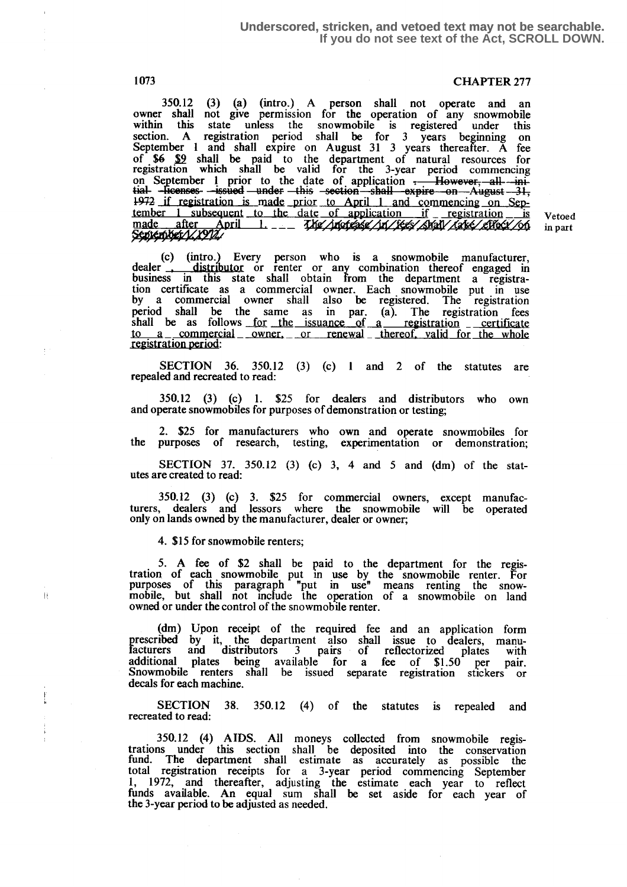#### **Underscored, stricken, and vetoed text may not be searchable. If you do not see text of the Act, SCROLL DOWN.**

# 1073 CHAPTER 277

350.12 (3) (a) (intro.) A person shall not operate and an owner shall not give permission for the operation of any snowmobile within this state unless the snowmobile is registered under this section. A registration period shall be for 3 years beginning on September 1 and shall expire on August 31 3 years thereafter. A fee of  $\frac{1}{2}$  shall be paid to the department of natural resources for registration which shall be valid for the 3-year period commencing of  $$6 \t{9}$  shall be paid to the department of natural resources for<br>registration which shall be valid for the 3-year period commencing<br>time. Here ensere --issued --under this --section shall expire on August --31,<br> $^{197$ if repistration is made prior to April 1 and commencing on September 1 subsequent to the date of application if registration is Vetoed made after April 1. \_\_ The intervention is very subsequent to the date of application i

(c) (intro.) Every person who is a snowmobile manufacturer,<br>dealer **interpretental interpretental combination** thereof engaged in business in this state shall obtain from the department a registration certificate as a commercial owner. Each snowmobile put in use by a commercial owner shall also be registered . The registration period shall be the same as in par. (a). The registration fees shall be as follows for the issuance of a registration erretificate to a commercial owner, or renewal thereof valid for the whole to a commercial owner, or renewal thereof, valid for the whole registration period:

SECTION 36. 350.12 (3) (c) 1 and 2 of the statutes are repealed and recreated to read:

350.12 (3) (c) 1. \$25 for dealers and distributors who own and operate snowmobiles for purposes of demonstration or testing;

2. \$25 for manufacturers who own and operate snowmobiles for the purposes of research, testing, experimentation or demonstration;

SECTION 37. 350.12 (3) (c) 3, 4 and 5 and (dm) of the statutes are created to read :

350.12 (3) (c) 3. \$25 for commercial owners, except manufacturers, dealers and lessors where the snowmobile will be operated only on lands owned by the manufacturer, dealer or owner;

4. \$15 for snowmobile renters;

 $\bar{\rm H}$ 

5. A fee of  $$2$  shall be paid to the department for the registration of each snowmobile put in use by the snowmobile renter. For purposes of this paragraph "put in use" means renting the snowmobile, but shall not include the operation of a snowmobile on land owned or under the control of the snowmobile renter .

(dm) Upon receipt of the required fee and an application form prescribed by it, the department also shall issue to dealers, manu-facturers and distributors 3 pairs of reflectorized plates with additional plates being available for a fee of \$1.50 per pair.<br>Snowmobile renters shall be issued separate registration stickers or decals for each machine.

SECTION 38. 350.12 (4) of the statutes is repealed and recreated to read:

350.12 (4) AIDS. All moneys collected from snowmobile registrations under this section shall be deposited into the conservation fund . The department shall estimate as accurately as possible the total registration receipts for a 3-year period commencing September 1, 1972, and thereafter, adjusting the estimate each year to reflect funds available. An equal sum shall be set aside for each year of the 3-year period to be adjusted as needed.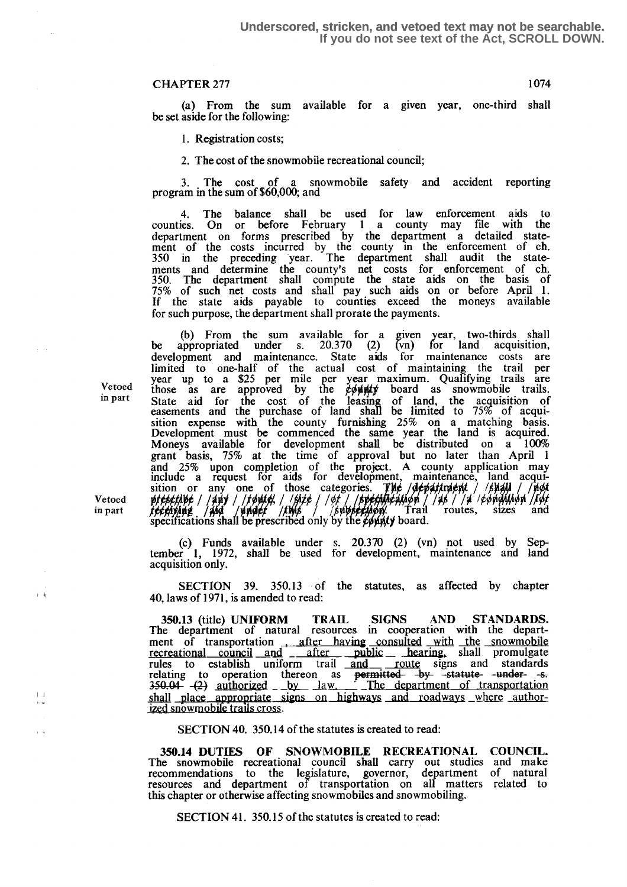(a) From the sum available for a given year, one-third shall be set aside for the following:

1. Registration costs;

2. The cost of the snowmobile recreational council;

<sup>3</sup> . The cost of a snowmobile safety and accident reporting program in the sum of \$60,000; and

4. The balance shall be used for law enforcement aids to counties. On or before February 1 a county may file with the department on forms prescribed by the department a detailed statement of the costs incurred by the county in the enforcement of ch. 350 in the preceding year . The department shall audit the statements and determine the county's net costs for enforcement of ch. 350. The department shall compute the state aids on the basis of 75% of such net costs and shall pay such aids on or before April 1 . If the state aids payable to counties exceed the moneys available for such purpose, the department shall prorate the payments.

(b) From the sum available for a given year, two-thirds shall be appropriated under s.  $20.370$  (2) (vn) for land acquisition, development and maintenance. State aids for maintenance costs are limited to one-half of the actual cost of maintaining the trail per<br>Vetoed year up to a \$25 per mile per year maximum. Qualifying trails are<br>those as are approved by the  $\cancel{c}$  bard as snowmobile trails.<br>in part State ai sition expense with the county furnishing 25% on a matching basis. Development must be commenced the same year the land is acquired. Moneys available for development shall be distributed on a  $100\%$ grant basis, 75% at the time of approval but no later than April 1 and 25% upon completion of the project. A county application may include a request for aids for development, maintenance, land acquisition or any one of those categories. **The department**  $\frac{1}{2}$ \$MY / Vetoed prescribe / / Any / / Fourte, / / Suite / / of / / Supermaceution / / 45 / / 4 / Pompition / Port<br>in part *techning / Ang / Anglet / Link* / / Superfiction Trail routes, sizes and<br>specifications shall be prescribed

> (c) Funds available under s. 20.370 (2) (vn) not used by September 1, 1972, shall be used for development, maintenance and land acquisition only.

> SECTION 39. 350.13 of the statutes, as affected by chapter 40, laws of 1971, is amended to read:

> 350.13 (title) UNIFORM TRAIL SIGNS AND STANDARDS. The department of natural resources in cooperation with the department of transportation \_ after having consulted with \_Jhe\_ snowmobile recreational council and  $\frac{1}{2}$   $\frac{1}{2}$  after public  $\frac{1}{2}$   $\frac{1}{2}$   $\frac{1}{2}$   $\frac{1}{2}$   $\frac{1}{2}$   $\frac{1}{2}$   $\frac{1}{2}$   $\frac{1}{2}$   $\frac{1}{2}$   $\frac{1}{2}$   $\frac{1}{2}$   $\frac{1}{2}$   $\frac{1}{2}$   $\frac{1}{2}$   $\frac{1}{2}$   $\frac{1}{2}$   $\frac$ recreational council and <u>- after public hearing</u>, shall promulgate<br>rules to establish uniform trail and <u>netwitted</u> signs and standards<br>relating to operation thereon as <del>permitted by statute under</del> 350.13 (title) UNIFORM TRAIL SIGNS AND STANDAR<br>The department of natural resources in cooperation with the dep<br>ment of transportation  $\frac{1}{\text{after}}$  having consulted with the snowm<br>recreational council and  $\frac{1}{\text{after}}$  publ  $350.04 - (2)$  authorized  $-$  by law. The department of transportation  $s_{\text{total}}$  =  $s_{\text{total}}$  =  $s_{\text{total}}$  =  $s_{\text{total}}$  =  $s_{\text{total}}$  =  $s_{\text{total}}$  =  $s_{\text{total}}$  =  $s_{\text{total}}$  =  $s_{\text{total}}$  =  $s_{\text{total}}$  =  $s_{\text{total}}$  =  $s_{\text{total}}$  =  $s_{\text{total}}$  =  $s_{\text{total}}$  =  $s_{\text{total}}$  =  $s_{\text{total}}$  =  $s_{\text{total}}$  =  $s_{\text{total}}$  =  $s_{\text$

SECTION 40. 350.14 of the statutes is created to read :

35014 DUTIES OF SNOWMOBILE RECREATIONAL COUNCIL. The snowmobile recreational council shall carry out studies and make recommendations to the legislature, governor, department of natural resources and department of transportation on all matters related to this chapter or otherwise affecting snowmobiles and snowmobiling.

SECTION 41. 350.15 of the statutes is created to read:

Vetoed

 $\frac{1}{2}$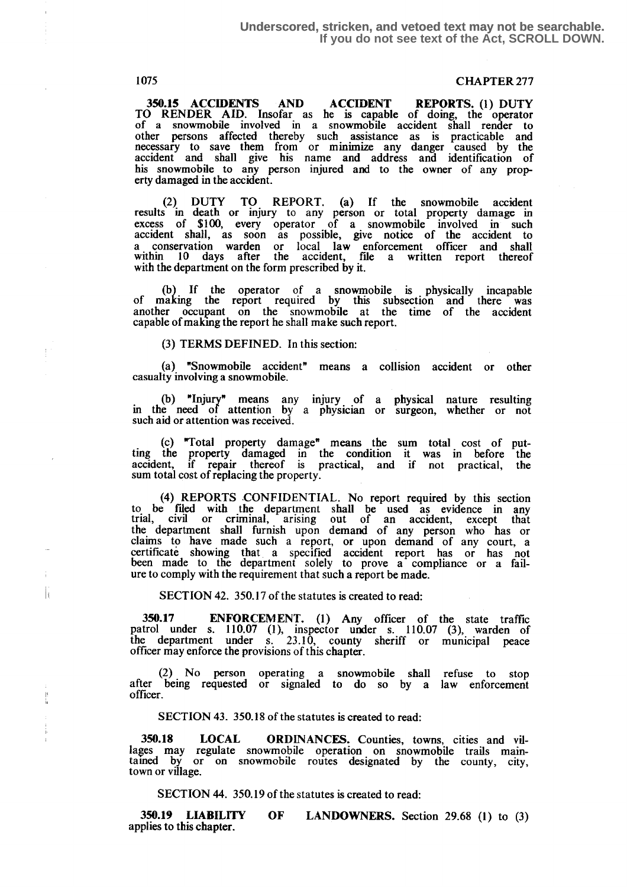$\mathbf{r}$ 

 $\begin{array}{c} 1 \\ 1 \\ 2 \end{array}$ 

# 1075 CHAPTER 277

350.15 ACCIDENTS AND ACCIDENT REPORTS. (1) DUTY TO RENDER AID. Insofar as he is capable of doing, the operator of a snowmobile involved in a snowmobile accident shall render to other persons affected thereby such . assistance as is practicable and necessary to save them from or minimize any danger caused by the accident and shall give his name and address and identification of his snowmobile to any person injured and to the owner of any property damaged in the accident.

(2) DUTY TO REPORT. (a) If the snowmobile accident results m death or injury to any person or total property damage in excess of \$100, every operator of a snowmobile involved in such accident shall, as soon as possible, give notice of the accident to a conservation warden or local law enforcement officer and shall within 10 days after the accident, file a written report thereof with the department on the form prescribed by it.

(b) If the operator of a snowmobile is physically incapable of making the report required by this subsection and there was another occupant on the snowmobile at the time of the accident capable of making the report he shall make such report.

(3) TERMS DEFINED. In this section:

(a) "Snowmobile accident" means a collision accident or other casualty involving a snowmobile .

(b) "Injury" means any injury . of a physical nature resulting in the need of attention by a physician or surgeon, whether or not such aid or attention was received.

(c) "Total property damage" means the sum total cost of putting the property damaged in the condition it was in before the accident, if repair thereof is practical, and if not practical, the sum total cost of replacing the property.

(4) REPORTS CONFIDENTIAL. No report required by this section to be filed with the department shall be used as evidence in any trial, civil or criminal, arising out of an accident, except that the department shall furnish upon demand of any person who has or claims to have made such a report, or upon demand of any court, a certificate showing that, a specified accident report has or has not been made to the deprtment solely to prove a compliance or a failure to comply with the requirement that such a report be made.

SECTION 42. 350.17 of the statutes is created to read:

350.17 ENFORCEMENT. (1) Any officer of the state traffic patrol under s. 110.07 (1), inspector under s. 110.07 (3), warden of the department under s. 23 .10, county sheriff or municipal peace officer may enforce the provisions of this chapter.

(2) No person operating a snowmobile shall refuse to stop after being requested or signaled to do so by a law enforcement officer.

SECTION 43. 350.18 of the statutes is created to read:

350.18 LOCAL ORDINANCES. Counties, towns, cities and villages may regulate snowmobile operation on snowmobile trails maintamed by or on snowmobile routes designated by the county, city, town or village.

SECTION 44. 350.19 of the statutes is created to read:

350.19 LIABILITY OF LANDOWNERS. Section 29.68 (1) to (3) applies to this chapter.